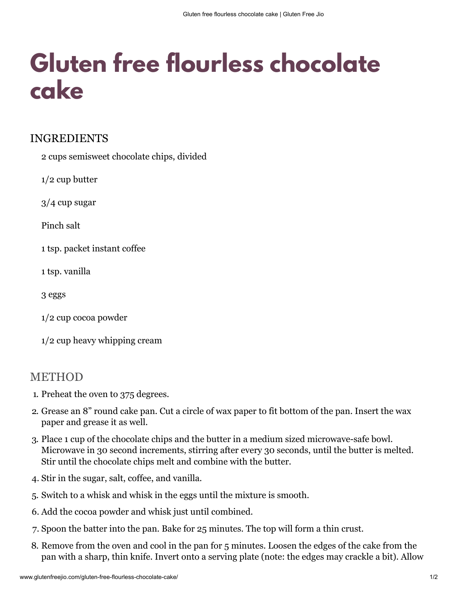## Gluten free flourless chocolate cake

## **INGREDIENTS**

2 cups semisweet chocolate chips, divided

 $1/2$  cup butter

 $3/4$  cup sugar

Pinch salt

1 tsp. packet instant coffee

1 tsp. vanilla

3 eggs

 $1/2$  cup cocoa powder

 $1/2$  cup heavy whipping cream

## **METHOD**

- 1. Preheat the oven to 375 degrees.
- 2. Grease an 8" round cake pan. Cut a circle of wax paper to fit bottom of the pan. Insert the wax paper and grease it as well.
- 3. Place 1 cup of the chocolate chips and the butter in a medium sized microwave-safe bowl. Microwave in 30 second increments, stirring after every 30 seconds, until the butter is melted. Stir until the chocolate chips melt and combine with the butter.
- 4. Stir in the sugar, salt, coffee, and vanilla.
- 5. Switch to a whisk and whisk in the eggs until the mixture is smooth.
- 6. Add the cocoa powder and whisk just until combined.
- 7. Spoon the batter into the pan. Bake for 25 minutes. The top will form a thin crust.
- 8. Remove from the oven and cool in the pan for 5 minutes. Loosen the edges of the cake from the pan with a sharp, thin knife. Invert onto a serving plate (note: the edges may crackle a bit). Allow